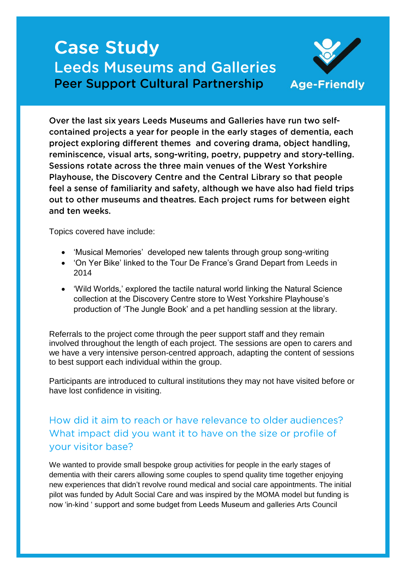## **Case Study Leeds Museums and Galleries Peer Support Cultural Partnership**



Over the last six years Leeds Museums and Galleries have run two selfcontained projects a year for people in the early stages of dementia, each project exploring different themes and covering drama, object handling, reminiscence, visual arts, song-writing, poetry, puppetry and story-telling. Sessions rotate across the three main venues of the West Yorkshire Playhouse, the Discovery Centre and the Central Library so that people feel a sense of familiarity and safety, although we have also had field trips out to other museums and theatres. Each project rums for between eight and ten weeks.

Topics covered have include:

- 'Musical Memories' developed new talents through group song-writing
- 'On Yer Bike' linked to the Tour De France's Grand Depart from Leeds in 2014
- 'Wild Worlds,' explored the tactile natural world linking the Natural Science collection at the Discovery Centre store to West Yorkshire Playhouse's production of 'The Jungle Book' and a pet handling session at the library.

Referrals to the project come through the peer support staff and they remain involved throughout the length of each project. The sessions are open to carers and we have a very intensive person-centred approach, adapting the content of sessions to best support each individual within the group.

Participants are introduced to cultural institutions they may not have visited before or have lost confidence in visiting.

How did it aim to reach or have relevance to older audiences? What impact did you want it to have on the size or profile of your visitor base?

We wanted to provide small bespoke group activities for people in the early stages of dementia with their carers allowing some couples to spend quality time together enjoying new experiences that didn't revolve round medical and social care appointments. The initial pilot was funded by Adult Social Care and was inspired by the MOMA model but funding is now 'in-kind ' support and some budget from Leeds Museum and galleries Arts Council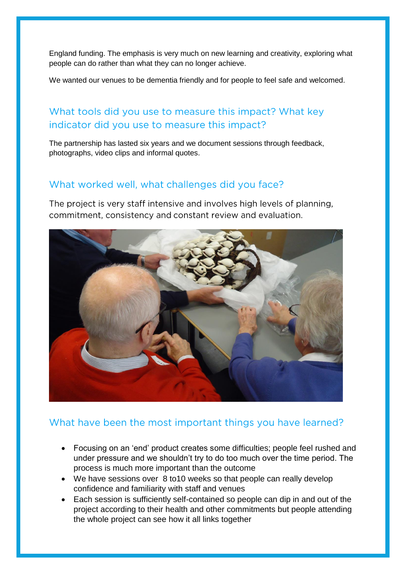England funding. The emphasis is very much on new learning and creativity, exploring what people can do rather than what they can no longer achieve.

We wanted our venues to be dementia friendly and for people to feel safe and welcomed.

## What tools did you use to measure this impact? What key indicator did you use to measure this impact?

The partnership has lasted six years and we document sessions through feedback, photographs, video clips and informal quotes.

## What worked well, what challenges did you face?

The project is very staff intensive and involves high levels of planning, commitment, consistency and constant review and evaluation.



## What have been the most important things you have learned?

- Focusing on an 'end' product creates some difficulties; people feel rushed and under pressure and we shouldn't try to do too much over the time period. The process is much more important than the outcome
- We have sessions over 8 to10 weeks so that people can really develop confidence and familiarity with staff and venues
- Each session is sufficiently self-contained so people can dip in and out of the project according to their health and other commitments but people attending the whole project can see how it all links together